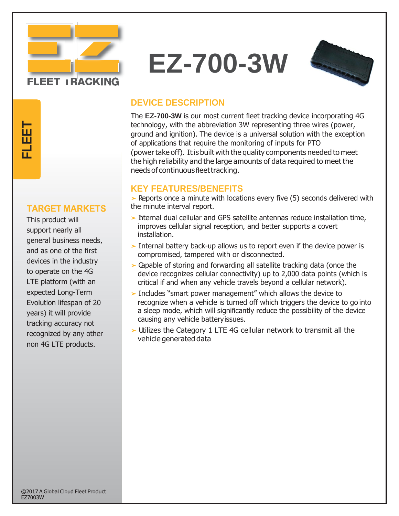

# **EZ-700-3W**



# **DEVICE DESCRIPTION**

The **EZ-700-3W** is our most current fleet tracking device incorporating 4G technology, with the abbreviation 3W representing three wires (power, ground and ignition). The device is a universal solution with the exception of applications that require the monitoring of inputs for PTO (powertake off). Itis built with the quality components needed to meet the high reliability and the large amounts of data required to meet the needsof continuousfleettracking.

### **KEY FEATURES/BENEFITS**

➤ Reports once a minute with locations every five (5) seconds delivered with the minute interval report.

- ➤ Internal dual cellular and GPS satellite antennas reduce installation time, improves cellular signal reception, and better supports a covert installation.
- ➤ Internal battery back-up allows us to report even if the device power is compromised, tampered with or disconnected.
- ➤ Capable of storing and forwarding all satellite tracking data (once the device recognizes cellular connectivity) up to 2,000 data points (which is critical if and when any vehicle travels beyond a cellular network).
- ➤ I ncludes "smart power management" which allows the device to recognize when a vehicle is turned off which triggers the device to go into a sleep mode, which will significantly reduce the possibility of the device causing any vehicle batteryissues.
- ➤ Utilizes the Category 1 LTE 4G cellular network to transmit all the vehicle generated data

**T**

This product will support nearly all general business needs, and as one of the first devices in the industry to operate on the 4G LTE platform (with an expected Long-Term Evolution lifespan of 20 years) it will provide tracking accuracy not recognized by any other TARGET MARKET<br>
This product will<br>
support nearly all<br>
general business need<br>
and as one of the first<br>
devices in the industry<br>
to operate on the 4G<br>
LTE platform (with an<br>
expected Long-Term<br>
Evolution lifespan of 2<br>
years